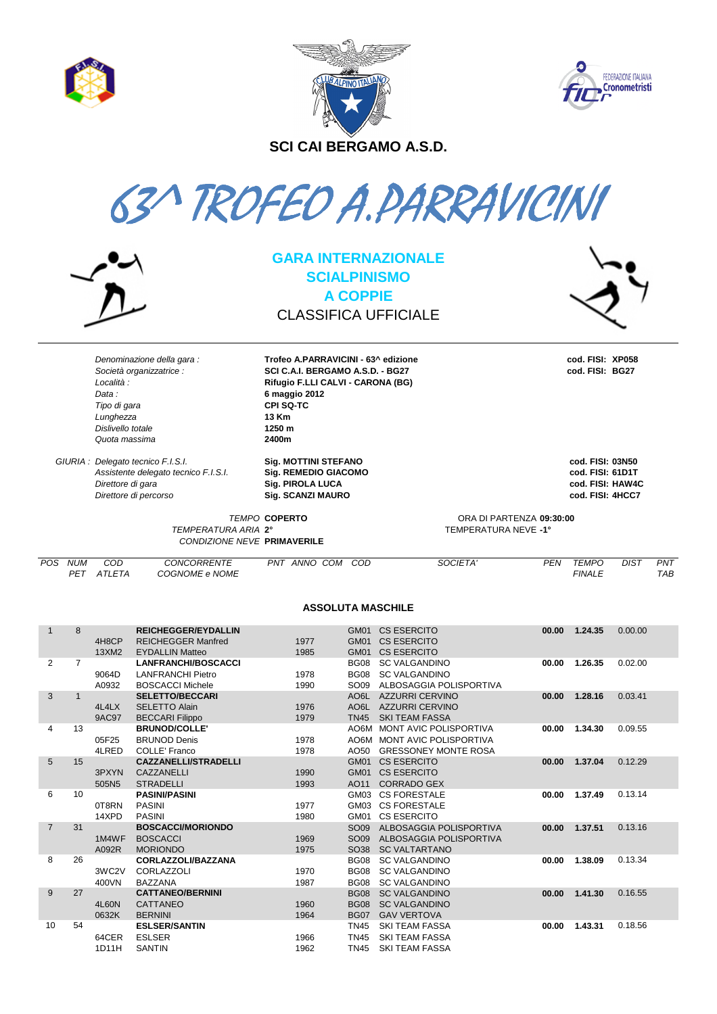| s. |  |
|----|--|
|    |  |
|    |  |





SCI CAI BERGAMO A.S.D.

63^ TROFEO A.PARRAVICINI



**GARA INTERNAZIONALE SCIALPINISMO A COPPIE CLASSIFICA UFFICIALE** 

Trofeo A.PARRAVICINI - 63^ edizione

SCI C.A.I. BERGAMO A.S.D. - BG27

Rifugio F.LLI CALVI - CARONA (BG)



Denominazione della gara · Società organizzatrice : Località : Data: Tipo di gara Lunghezza Dislivello totale Quota massima

GIURIA : Delegato tecnico F.I.S.I. Assistente delegato tecnico F.I.S.I. Direttore di gara Direttore di percorso

Sig. MOTTINI STEFANO **Sig. REMEDIO GIACOMO** Sig. PIROLA LUCA Sig. SCANZI MAURO

6 maggio 2012

CPI SQ-TC

13 Km

1250 m

2400m

cod. FISI: XP058 cod. FISI: BG27

cod. FISI: 03N50 cod. FISI: 61D1T cod. FISI: HAW4C cod. FISI: 4HCC7

TEMPO COPERTO TEMPERATURA ARIA 2° **CONDIZIONE NEVE PRIMAVERILE** 

ORA DI PARTENZA 09:30:00 TEMPERATURA NEVE -1°

POS NUM  $COD$ CONCORRENTE PNT ANNO COM COD SOCIETA' **PFN TFMPO DIST**  $PNT$ PET ATLETA COGNOME e NOME **FINALE**  $TAB$ 

## **ASSOLUTA MASCHILE**

| $\mathbf 1$    | 8              | 4H8CP<br>13XM2     | <b>REICHEGGER/EYDALLIN</b><br><b>REICHEGGER Manfred</b><br><b>EYDALLIN Matteo</b> | 1977<br>1985 | GM01<br><b>GM01</b><br>GM01 | <b>CS ESERCITO</b><br><b>CS ESERCITO</b><br><b>CS ESERCITO</b> | 00.00 | 1.24.35       | 0.00.00 |
|----------------|----------------|--------------------|-----------------------------------------------------------------------------------|--------------|-----------------------------|----------------------------------------------------------------|-------|---------------|---------|
| 2              | $\overline{7}$ |                    | <b>LANFRANCHI/BOSCACCI</b>                                                        |              | <b>BG08</b>                 | <b>SC VALGANDINO</b>                                           | 00.00 | 1.26.35       | 0.02.00 |
|                |                | 9064D              | <b>LANFRANCHI Pietro</b>                                                          | 1978         | <b>BG08</b>                 | <b>SC VALGANDINO</b>                                           |       |               |         |
|                |                | A0932              | <b>BOSCACCI Michele</b>                                                           | 1990         | SO <sub>09</sub>            | ALBOSAGGIA POLISPORTIVA                                        |       |               |         |
| 3              |                |                    | <b>SELETTO/BECCARI</b>                                                            |              | AO <sub>6</sub> L           | <b>AZZURRI CERVINO</b>                                         | 00.00 | 1.28.16       | 0.03.41 |
|                |                | 4L4LX              | <b>SELETTO Alain</b>                                                              | 1976         |                             | AO6L AZZURRI CERVINO                                           |       |               |         |
|                |                | <b>9AC97</b>       | <b>BECCARI Filippo</b>                                                            | 1979         | <b>TN45</b>                 | <b>SKI TEAM FASSA</b>                                          |       |               |         |
| 4              | 13             |                    | <b>BRUNOD/COLLE'</b>                                                              |              | AO6M                        | <b>MONT AVIC POLISPORTIVA</b>                                  | 00.00 | 1.34.30       | 0.09.55 |
|                |                | 05F25              | <b>BRUNOD Denis</b>                                                               | 1978         | AO6M                        | MONT AVIC POLISPORTIVA                                         |       |               |         |
|                |                | 4LRED              | <b>COLLE' Franco</b>                                                              | 1978         | AO50                        | <b>GRESSONEY MONTE ROSA</b>                                    |       |               |         |
| $\sqrt{5}$     | 15             |                    | <b>CAZZANELLI/STRADELLI</b>                                                       |              | GM01                        | <b>CS ESERCITO</b>                                             |       | 00.00 1.37.04 | 0.12.29 |
|                |                | 3PXYN              | CAZZANELLI                                                                        | 1990         | GM01                        | <b>CS ESERCITO</b>                                             |       |               |         |
| 6              | 10             | 505N5              | <b>STRADELLI</b><br><b>PASINI/PASINI</b>                                          | 1993         | AO11<br>GM03                | <b>CORRADO GEX</b><br><b>CS FORESTALE</b>                      | 00.00 | 1.37.49       | 0.13.14 |
|                |                |                    |                                                                                   |              |                             | <b>CS FORESTALE</b>                                            |       |               |         |
|                |                | 0T8RN<br>14XPD     | <b>PASINI</b><br><b>PASINI</b>                                                    | 1977<br>1980 | GM03<br>GM01                | <b>CS ESERCITO</b>                                             |       |               |         |
| $\overline{7}$ | 31             |                    | <b>BOSCACCI/MORIONDO</b>                                                          |              | SO <sub>09</sub>            | ALBOSAGGIA POLISPORTIVA                                        | 00.00 | 1.37.51       | 0.13.16 |
|                |                | 1M4WF              | <b>BOSCACCI</b>                                                                   | 1969         | SO <sub>09</sub>            | ALBOSAGGIA POLISPORTIVA                                        |       |               |         |
|                |                | A092R              | <b>MORIONDO</b>                                                                   | 1975         | SO <sub>38</sub>            | <b>SC VALTARTANO</b>                                           |       |               |         |
| 8              | 26             |                    | <b>CORLAZZOLI/BAZZANA</b>                                                         |              | <b>BG08</b>                 | <b>SC VALGANDINO</b>                                           | 00.00 | 1.38.09       | 0.13.34 |
|                |                | 3WC <sub>2</sub> V | CORLAZZOLI                                                                        | 1970         | <b>BG08</b>                 | <b>SC VALGANDINO</b>                                           |       |               |         |
|                |                | 400VN              | <b>BAZZANA</b>                                                                    | 1987         | <b>BG08</b>                 | <b>SC VALGANDINO</b>                                           |       |               |         |
| 9              | 27             |                    | <b>CATTANEO/BERNINI</b>                                                           |              | <b>BG08</b>                 | <b>SC VALGANDINO</b>                                           | 00.00 | 1.41.30       | 0.16.55 |
|                |                | 4L60N              | CATTANEO                                                                          | 1960         | <b>BG08</b>                 | <b>SC VALGANDINO</b>                                           |       |               |         |
|                |                | 0632K              | <b>BERNINI</b>                                                                    | 1964         | <b>BG07</b>                 | <b>GAV VERTOVA</b>                                             |       |               |         |
| 10             | 54             |                    | <b>ESLSER/SANTIN</b>                                                              |              | <b>TN45</b>                 | <b>SKI TEAM FASSA</b>                                          | 00.00 | 1.43.31       | 0.18.56 |
|                |                | 64CER              | <b>ESLSER</b>                                                                     | 1966         | <b>TN45</b>                 | <b>SKI TEAM FASSA</b>                                          |       |               |         |
|                |                | 1D11H              | <b>SANTIN</b>                                                                     | 1962         | <b>TN45</b>                 | <b>SKI TEAM FASSA</b>                                          |       |               |         |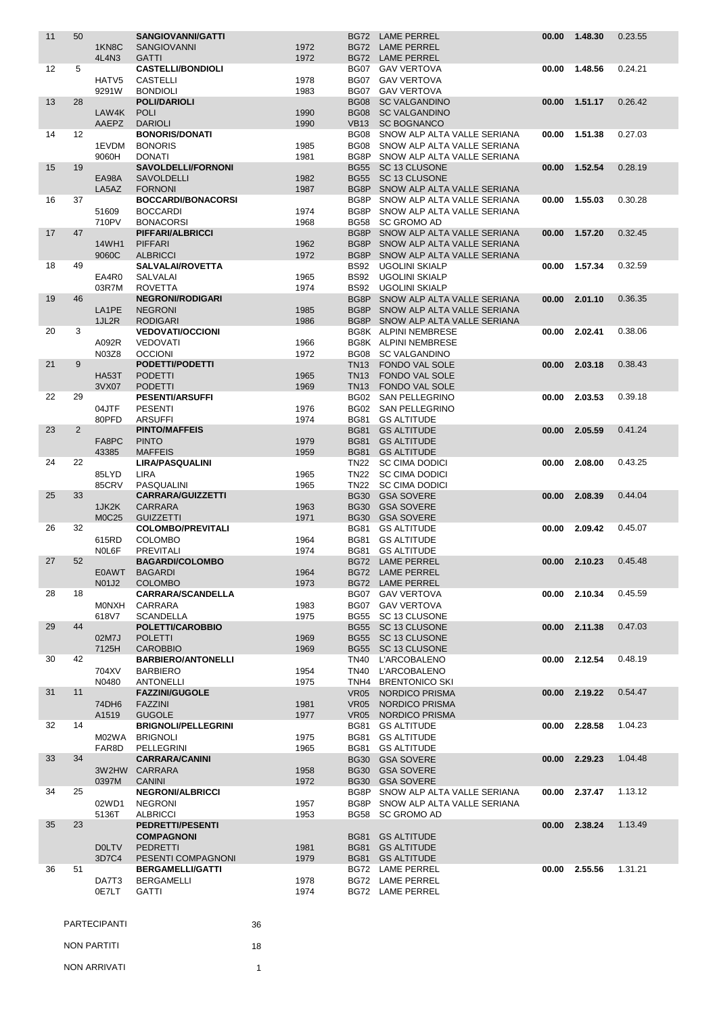| 11 | 50                |                    | <b>SANGIOVANNI/GATTI</b>                |              |             | BG72 LAME PERREL                                       | 00.00 | 1.48.30       | 0.23.55 |
|----|-------------------|--------------------|-----------------------------------------|--------------|-------------|--------------------------------------------------------|-------|---------------|---------|
|    |                   | 1KN <sub>8</sub> C | <b>SANGIOVANNI</b>                      | 1972         |             | BG72 LAME PERREL                                       |       |               |         |
|    |                   | 4L4N3              | <b>GATTI</b>                            | 1972         |             | BG72 LAME PERREL                                       |       |               |         |
| 12 | 5                 |                    | <b>CASTELLI/BONDIOLI</b>                |              |             | BG07 GAV VERTOVA                                       | 00.00 | 1.48.56       | 0.24.21 |
|    |                   | HATV <sub>5</sub>  | <b>CASTELLI</b>                         | 1978         |             | BG07 GAV VERTOVA                                       |       |               |         |
|    |                   | 9291W              | <b>BONDIOLI</b>                         | 1983         |             | BG07 GAV VERTOVA                                       |       |               |         |
| 13 | 28                |                    | <b>POLI/DARIOLI</b>                     |              |             | <b>BG08 SC VALGANDINO</b>                              | 00.00 | 1.51.17       | 0.26.42 |
|    |                   | LAW4K              | <b>POLI</b>                             | 1990         |             | <b>BG08 SC VALGANDINO</b>                              |       |               |         |
|    |                   | <b>AAEPZ</b>       | <b>DARIOLI</b>                          | 1990         |             | VB13 SC BOGNANCO                                       |       |               |         |
| 14 | $12 \overline{ }$ |                    | <b>BONORIS/DONATI</b>                   |              | BG08        | SNOW ALP ALTA VALLE SERIANA                            | 00.00 | 1.51.38       | 0.27.03 |
|    |                   | 1EVDM              | <b>BONORIS</b>                          | 1985         | <b>BG08</b> | SNOW ALP ALTA VALLE SERIANA                            |       |               |         |
|    |                   | 9060H              | <b>DONATI</b>                           | 1981         |             | BG8P SNOW ALP ALTA VALLE SERIANA                       |       |               |         |
| 15 | 19                |                    | <b>SAVOLDELLI/FORNONI</b>               |              |             | BG55 SC 13 CLUSONE                                     | 00.00 | 1.52.54       | 0.28.19 |
|    |                   | EA98A<br>LA5AZ     | <b>SAVOLDELLI</b><br><b>FORNONI</b>     | 1982<br>1987 |             | BG55 SC 13 CLUSONE<br>BG8P SNOW ALP ALTA VALLE SERIANA |       |               |         |
| 16 | 37                |                    | <b>BOCCARDI/BONACORSI</b>               |              | BG8P        | SNOW ALP ALTA VALLE SERIANA                            | 00.00 | 1.55.03       | 0.30.28 |
|    |                   | 51609              | <b>BOCCARDI</b>                         | 1974         |             | BG8P SNOW ALP ALTA VALLE SERIANA                       |       |               |         |
|    |                   | 710PV              | <b>BONACORSI</b>                        | 1968         | <b>BG58</b> | <b>SC GROMO AD</b>                                     |       |               |         |
| 17 | 47                |                    | PIFFARI/ALBRICCI                        |              |             | BG8P SNOW ALP ALTA VALLE SERIANA                       | 00.00 | 1.57.20       | 0.32.45 |
|    |                   | 14WH1              | <b>PIFFARI</b>                          | 1962         | BG8P        | SNOW ALP ALTA VALLE SERIANA                            |       |               |         |
|    |                   | 9060C              | <b>ALBRICCI</b>                         | 1972         | BG8P        | SNOW ALP ALTA VALLE SERIANA                            |       |               |         |
| 18 | 49                |                    | <b>SALVALAI/ROVETTA</b>                 |              | <b>BS92</b> | <b>UGOLINI SKIALP</b>                                  | 00.00 | 1.57.34       | 0.32.59 |
|    |                   | EA4R0              | <b>SALVALAI</b>                         | 1965         | <b>BS92</b> | <b>UGOLINI SKIALP</b>                                  |       |               |         |
|    |                   | 03R7M              | <b>ROVETTA</b>                          | 1974         | <b>BS92</b> | <b>UGOLINI SKIALP</b>                                  |       |               |         |
| 19 | 46                |                    | <b>NEGRONI/RODIGARI</b>                 |              | BG8P        | SNOW ALP ALTA VALLE SERIANA                            | 00.00 | 2.01.10       | 0.36.35 |
|    |                   | LA1PE              | <b>NEGRONI</b>                          | 1985         | BG8P        | SNOW ALP ALTA VALLE SERIANA                            |       |               |         |
|    |                   | 1JL2R              | <b>RODIGARI</b>                         | 1986         | BG8P        | SNOW ALP ALTA VALLE SERIANA                            |       |               |         |
| 20 | 3                 |                    | <b>VEDOVATI/OCCIONI</b>                 |              |             | BG8K ALPINI NEMBRESE                                   | 00.00 | 2.02.41       | 0.38.06 |
|    |                   | A092R              | <b>VEDOVATI</b>                         | 1966         |             | BG8K ALPINI NEMBRESE                                   |       |               |         |
|    |                   | N03Z8              | <b>OCCIONI</b>                          | 1972         | BG08        | <b>SC VALGANDINO</b>                                   |       |               |         |
| 21 | 9                 |                    | <b>PODETTI/PODETTI</b>                  |              | TN13        | <b>FONDO VAL SOLE</b>                                  | 00.00 | 2.03.18       | 0.38.43 |
|    |                   | <b>HA53T</b>       | <b>PODETTI</b>                          | 1965         | TN13        | <b>FONDO VAL SOLE</b>                                  |       |               |         |
|    |                   | 3VX07              | <b>PODETTI</b>                          | 1969         | TN13        | FONDO VAL SOLE                                         |       |               |         |
| 22 | 29                |                    | <b>PESENTI/ARSUFFI</b>                  |              |             | BG02 SAN PELLEGRINO                                    | 00.00 | 2.03.53       | 0.39.18 |
|    |                   | 04JTF              | <b>PESENTI</b>                          | 1976         | <b>BG02</b> | SAN PELLEGRINO                                         |       |               |         |
|    |                   | 80PFD              | <b>ARSUFFI</b>                          | 1974         |             | BG81 GS ALTITUDE                                       |       |               |         |
| 23 | 2                 |                    | <b>PINTO/MAFFEIS</b>                    |              | <b>BG81</b> | <b>GS ALTITUDE</b>                                     | 00.00 | 2.05.59       | 0.41.24 |
|    |                   | FA8PC              | <b>PINTO</b>                            | 1979         |             | <b>BG81 GS ALTITUDE</b>                                |       |               |         |
|    |                   | 43385              | <b>MAFFEIS</b>                          | 1959         |             | <b>BG81 GS ALTITUDE</b>                                |       |               |         |
| 24 | 22                |                    | <b>LIRA/PASQUALINI</b>                  |              | <b>TN22</b> | <b>SC CIMA DODICI</b>                                  | 00.00 | 2.08.00       | 0.43.25 |
|    |                   | 85LYD              | LIRA                                    | 1965         | <b>TN22</b> | <b>SC CIMA DODICI</b>                                  |       |               |         |
|    |                   | 85CRV              | PASQUALINI                              | 1965         |             | TN22 SC CIMA DODICI                                    |       |               |         |
| 25 | 33                |                    | <b>CARRARA/GUIZZETTI</b>                |              | <b>BG30</b> | <b>GSA SOVERE</b>                                      | 00.00 | 2.08.39       | 0.44.04 |
|    |                   | 1JK2K              | <b>CARRARA</b>                          | 1963         | <b>BG30</b> | <b>GSA SOVERE</b>                                      |       |               |         |
|    |                   | <b>M0C25</b>       | <b>GUIZZETTI</b>                        | 1971         | <b>BG30</b> | <b>GSA SOVERE</b>                                      |       |               |         |
| 26 | 32                |                    | <b>COLOMBO/PREVITALI</b>                |              |             | BG81 GS ALTITUDE                                       | 00.00 | 2.09.42       | 0.45.07 |
|    |                   | 615RD              | <b>COLOMBO</b>                          | 1964         | <b>BG81</b> | <b>GS ALTITUDE</b>                                     |       |               |         |
|    |                   | N0L6F              | <b>PREVITALI</b>                        | 1974         | <b>BG81</b> | <b>GS ALTITUDE</b>                                     |       |               |         |
| 27 | 52                |                    | <b>BAGARDI/COLOMBO</b><br>E0AWT BAGARDI |              |             | BG72 LAME PERREL<br>BG72 LAME PERREL                   | 00.00 | 2.10.23       | 0.45.48 |
|    |                   | N01J2              | <b>COLOMBO</b>                          | 1964<br>1973 |             | BG72 LAME PERREL                                       |       |               |         |
| 28 | 18                |                    | <b>CARRARA/SCANDELLA</b>                |              |             | BG07 GAV VERTOVA                                       |       | 00.00 2.10.34 | 0.45.59 |
|    |                   | MONXH              | CARRARA                                 | 1983         |             | BG07 GAV VERTOVA                                       |       |               |         |
|    |                   | 618V7              | <b>SCANDELLA</b>                        | 1975         |             | BG55 SC 13 CLUSONE                                     |       |               |         |
| 29 | 44                |                    | POLETTI/CAROBBIO                        |              |             | BG55 SC 13 CLUSONE                                     | 00.00 | 2.11.38       | 0.47.03 |
|    |                   | 02M7J              | <b>POLETTI</b>                          | 1969         |             | BG55 SC 13 CLUSONE                                     |       |               |         |
|    |                   | 7125H              | <b>CAROBBIO</b>                         | 1969         | <b>BG55</b> | SC 13 CLUSONE                                          |       |               |         |
| 30 | 42                |                    | <b>BARBIERO/ANTONELLI</b>               |              | TN40        | <b>L'ARCOBALENO</b>                                    | 00.00 | 2.12.54       | 0.48.19 |
|    |                   | 704XV              | <b>BARBIERO</b>                         | 1954         | <b>TN40</b> | <b>L'ARCOBALENO</b>                                    |       |               |         |
|    |                   | N0480              | <b>ANTONELLI</b>                        | 1975         | TNH4        | <b>BRENTONICO SKI</b>                                  |       |               |         |
| 31 | 11                |                    | <b>FAZZINI/GUGOLE</b>                   |              | <b>VR05</b> | <b>NORDICO PRISMA</b>                                  | 00.00 | 2.19.22       | 0.54.47 |
|    |                   | 74DH6              | <b>FAZZINI</b>                          | 1981         | <b>VR05</b> | <b>NORDICO PRISMA</b>                                  |       |               |         |
|    |                   | A1519              | <b>GUGOLE</b>                           | 1977         | VR05        | NORDICO PRISMA                                         |       |               |         |
| 32 | 14                |                    | <b>BRIGNOLI/PELLEGRINI</b>              |              | BG81        | <b>GS ALTITUDE</b>                                     | 00.00 | 2.28.58       | 1.04.23 |
|    |                   | M02WA              | <b>BRIGNOLI</b>                         | 1975         |             | BG81 GS ALTITUDE                                       |       |               |         |
|    |                   | FAR8D              | PELLEGRINI                              | 1965         |             | BG81 GS ALTITUDE                                       |       |               |         |
| 33 | 34                |                    | <b>CARRARA/CANINI</b>                   |              |             | BG30 GSA SOVERE                                        | 00.00 | 2.29.23       | 1.04.48 |
|    |                   | 3W2HW              | <b>CARRARA</b>                          | 1958         |             | BG30 GSA SOVERE                                        |       |               |         |
|    |                   | 0397M              | <b>CANINI</b>                           | 1972         |             | BG30 GSA SOVERE                                        |       |               |         |
| 34 | 25                |                    | <b>NEGRONI/ALBRICCI</b>                 |              |             | BG8P SNOW ALP ALTA VALLE SERIANA                       | 00.00 | 2.37.47       | 1.13.12 |
|    |                   | 02WD1              | <b>NEGRONI</b>                          | 1957         |             | BG8P SNOW ALP ALTA VALLE SERIANA                       |       |               |         |
|    |                   | 5136T              | <b>ALBRICCI</b>                         | 1953         | BG58        | <b>SC GROMO AD</b>                                     |       |               |         |
| 35 | 23                |                    | <b>PEDRETTI/PESENTI</b>                 |              |             |                                                        | 00.00 | 2.38.24       | 1.13.49 |
|    |                   |                    | <b>COMPAGNONI</b>                       |              |             | BG81 GS ALTITUDE                                       |       |               |         |
|    |                   | <b>DOLTV</b>       | <b>PEDRETTI</b>                         | 1981         |             | <b>BG81 GS ALTITUDE</b>                                |       |               |         |
|    |                   | 3D7C4              | PESENTI COMPAGNONI                      | 1979         |             | <b>BG81 GS ALTITUDE</b>                                |       |               |         |
| 36 | 51                |                    | <b>BERGAMELLI/GATTI</b>                 |              |             | BG72 LAME PERREL                                       | 00.00 | 2.55.56       | 1.31.21 |
|    |                   | DA7T3              | <b>BERGAMELLI</b>                       | 1978         |             | BG72 LAME PERREL                                       |       |               |         |
|    |                   | 0E7LT              | GATTI                                   | 1974         |             | BG72 LAME PERREL                                       |       |               |         |
|    |                   |                    |                                         |              |             |                                                        |       |               |         |

| <b>PARTECIPANTI</b> | 36 |
|---------------------|----|
| NON PARTITI         | 18 |
| NON ARRIVATI        |    |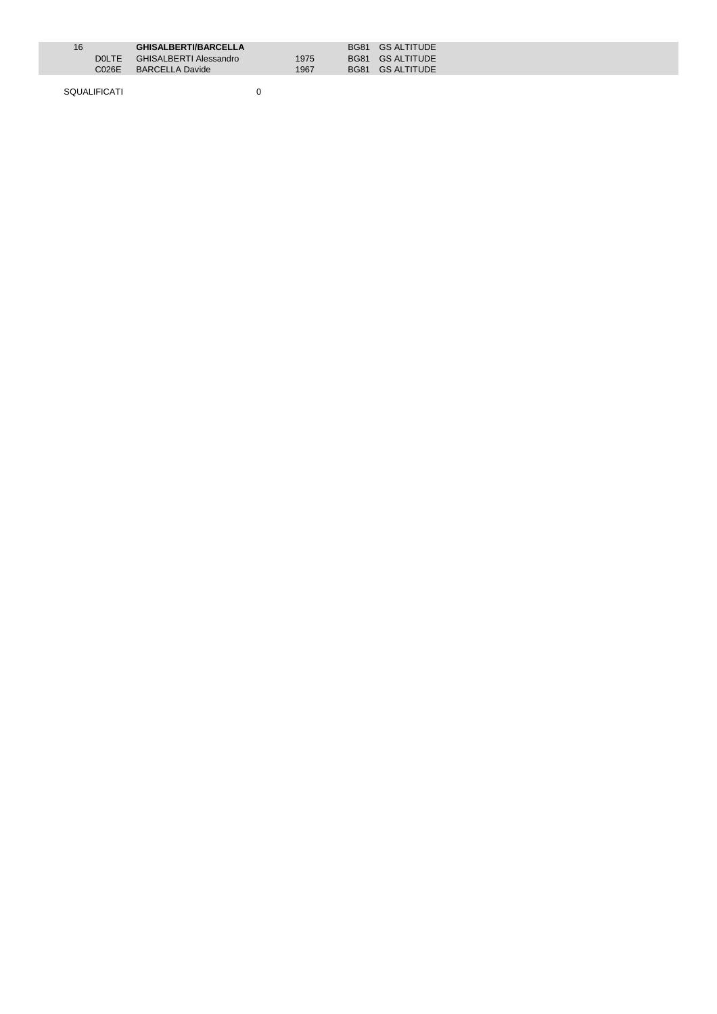| 16 |         | <b>GHISALBERTI/BARCELLA</b> |      | BG81 GS ALTITUDE |
|----|---------|-----------------------------|------|------------------|
|    | DOLTE L | GHISALBERTI Alessandro      | 1975 | BG81 GS ALTITUDE |
|    | C026E - | <b>BARCELLA Davide</b>      | 1967 | BG81 GS ALTITUDE |
|    |         |                             |      |                  |

SQUALIFICATI 0